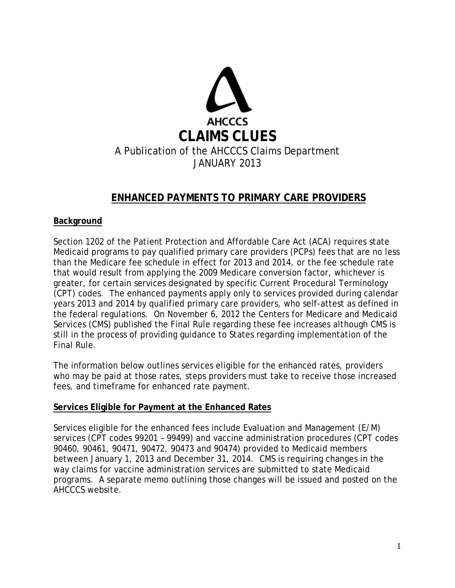

## **ENHANCED PAYMENTS TO PRIMARY CARE PROVIDERS**

#### **Background**

Section 1202 of the Patient Protection and Affordable Care Act (ACA) requires state Medicaid programs to pay qualified primary care providers (PCPs) fees that are no less than the Medicare fee schedule in effect for 2013 and 2014, or the fee schedule rate that would result from applying the 2009 Medicare conversion factor, whichever is greater, for certain services designated by specific Current Procedural Terminology (CPT) codes. The enhanced payments apply only to services provided during calendar years 2013 and 2014 by qualified primary care providers, who self-attest as defined in the federal regulations. On November 6, 2012 the Centers for Medicare and Medicaid Services (CMS) published the Final Rule regarding these fee increases although CMS is still in the process of providing guidance to States regarding implementation of the Final Rule.

The information below outlines services eligible for the enhanced rates, providers who may be paid at those rates, steps providers must take to receive those increased fees, and timeframe for enhanced rate payment.

#### **Services Eligible for Payment at the Enhanced Rates**

Services eligible for the enhanced fees include Evaluation and Management (E/M) services (CPT codes 99201 – 99499) and vaccine administration procedures (CPT codes 90460, 90461, 90471, 90472, 90473 and 90474) provided to Medicaid members between January 1, 2013 and December 31, 2014. CMS is requiring changes in the way claims for vaccine administration services are submitted to state Medicaid programs. A separate memo outlining those changes will be issued and posted on the AHCCCS website.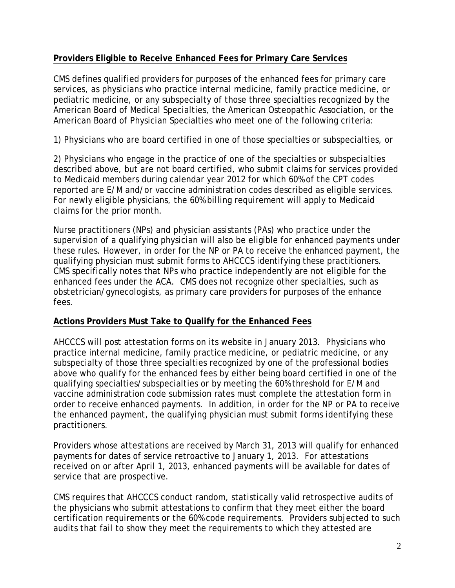### **Providers Eligible to Receive Enhanced Fees for Primary Care Services**

CMS defines qualified providers for purposes of the enhanced fees for primary care services, as physicians who practice internal medicine, family practice medicine, or pediatric medicine, or any subspecialty of those three specialties recognized by the American Board of Medical Specialties, the American Osteopathic Association, or the American Board of Physician Specialties who meet one of the following criteria:

1) Physicians who are board certified in one of those specialties or subspecialties, or

2) Physicians who engage in the practice of one of the specialties or subspecialties described above, but are not board certified, who submit claims for services provided to Medicaid members during calendar year 2012 for which 60% of the CPT codes reported are E/M and/or vaccine administration codes described as eligible services. For newly eligible physicians, the 60% billing requirement will apply to Medicaid claims for the prior month.

Nurse practitioners (NPs) and physician assistants (PAs) who practice under the supervision of a qualifying physician will also be eligible for enhanced payments under these rules. However, in order for the NP or PA to receive the enhanced payment, the qualifying physician must submit forms to AHCCCS identifying these practitioners. CMS specifically notes that NPs who practice independently are not eligible for the enhanced fees under the ACA. CMS does not recognize other specialties, such as obstetrician/gynecologists, as primary care providers for purposes of the enhance fees.

#### **Actions Providers Must Take to Qualify for the Enhanced Fees**

AHCCCS will post attestation forms on its website in January 2013. Physicians who practice internal medicine, family practice medicine, or pediatric medicine, or any subspecialty of those three specialties recognized by one of the professional bodies above who qualify for the enhanced fees by either being board certified in one of the qualifying specialties/subspecialties or by meeting the 60% threshold for E/M and vaccine administration code submission rates must complete the attestation form in order to receive enhanced payments. In addition, in order for the NP or PA to receive the enhanced payment, the qualifying physician must submit forms identifying these practitioners.

Providers whose attestations are received by March 31, 2013 will qualify for enhanced payments for dates of service retroactive to January 1, 2013. For attestations received on or after April 1, 2013, enhanced payments will be available for dates of service that are prospective.

CMS requires that AHCCCS conduct random, statistically valid retrospective audits of the physicians who submit attestations to confirm that they meet either the board certification requirements or the 60% code requirements. Providers subjected to such audits that fail to show they meet the requirements to which they attested are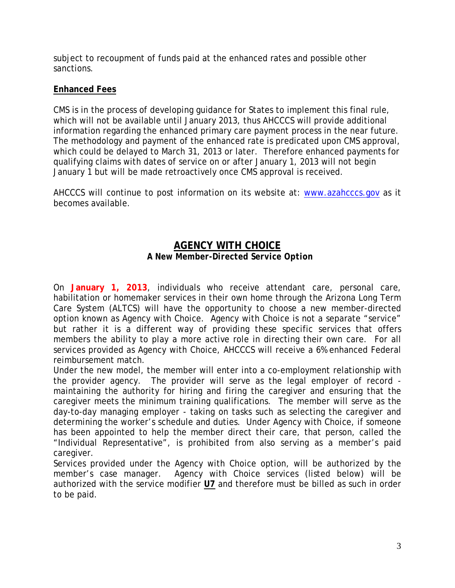subject to recoupment of funds paid at the enhanced rates and possible other sanctions.

### **Enhanced Fees**

CMS is in the process of developing guidance for States to implement this final rule, which will not be available until January 2013, thus AHCCCS will provide additional information regarding the enhanced primary care payment process in the near future. The methodology and payment of the enhanced rate is predicated upon CMS approval, which could be delayed to March 31, 2013 or later. Therefore enhanced payments for qualifying claims with dates of service on or after January 1, 2013 will not begin January 1 but will be made retroactively once CMS approval is received.

AHCCCS will continue to post information on its website at: [www.azahcccs.gov](http://www.azahcccs.gov/) as it becomes available.

## **AGENCY WITH CHOICE** *A New Member-Directed Service Option*

On **January 1, 2013**, individuals who receive attendant care, personal care, habilitation or homemaker services in their own home through the Arizona Long Term Care System (ALTCS) will have the opportunity to choose a new member-directed option known as Agency with Choice. Agency with Choice is not a separate "service" but rather it is a different way of providing these specific services that offers members the ability to play a more active role in directing their own care. For all services provided as Agency with Choice, AHCCCS will receive a 6% enhanced Federal reimbursement match.

Under the new model, the member will enter into a co-employment relationship with the provider agency. The provider will serve as the legal employer of record maintaining the authority for hiring and firing the caregiver and ensuring that the caregiver meets the minimum training qualifications. The member will serve as the day-to-day managing employer - taking on tasks such as selecting the caregiver and determining the worker's schedule and duties. Under Agency with Choice, if someone has been appointed to help the member direct their care, that person, called the "Individual Representative", is prohibited from also serving as a member's paid caregiver.

Services provided under the Agency with Choice option, will be authorized by the member's case manager. Agency with Choice services (listed below) will be authorized with the service modifier **U7** and therefore must be billed as such in order to be paid.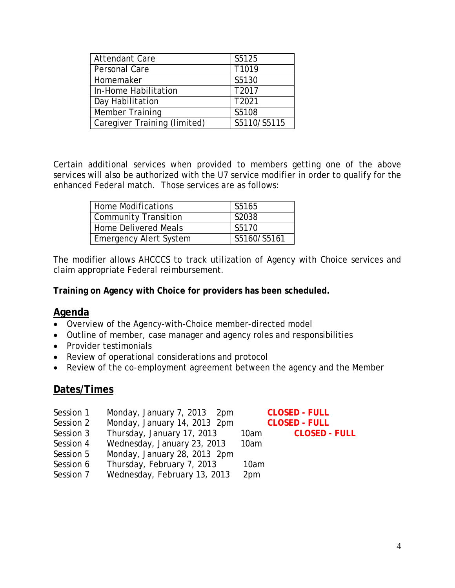| <b>Attendant Care</b>        | S5125       |
|------------------------------|-------------|
| Personal Care                | T1019       |
| Homemaker                    | S5130       |
| In-Home Habilitation         | T2017       |
| Day Habilitation             | T2021       |
| Member Training              | S5108       |
| Caregiver Training (limited) | S5110/S5115 |

Certain additional services when provided to members getting one of the above services will also be authorized with the U7 service modifier in order to qualify for the enhanced Federal match. Those services are as follows:

| Home Modifications            | S5165       |
|-------------------------------|-------------|
| Community Transition          | S2038       |
| Home Delivered Meals          | S5170       |
| <b>Emergency Alert System</b> | S5160/S5161 |

The modifier allows AHCCCS to track utilization of Agency with Choice services and claim appropriate Federal reimbursement.

**Training on Agency with Choice for providers has been scheduled.** 

#### **Agenda**

- Overview of the Agency-with-Choice member-directed model
- Outline of member, case manager and agency roles and responsibilities
- Provider testimonials
- Review of operational considerations and protocol
- Review of the co-employment agreement between the agency and the Member

# **Dates/Times**

- Session 1 Monday, January 7, 2013 2pm **CLOSED - FULL**
- Session 2 Monday, January 14, 2013 2pm **CLOSED - FULL**
- Session 3 Thursday, January 17, 2013 10am **CLOSED - FULL**
- Session 4 Wednesday, January 23, 2013 10am
- Session 5 Monday, January 28, 2013 2pm
- Session 6 Thursday, February 7, 2013 10am
- Session 7 Wednesday, February 13, 2013 2pm